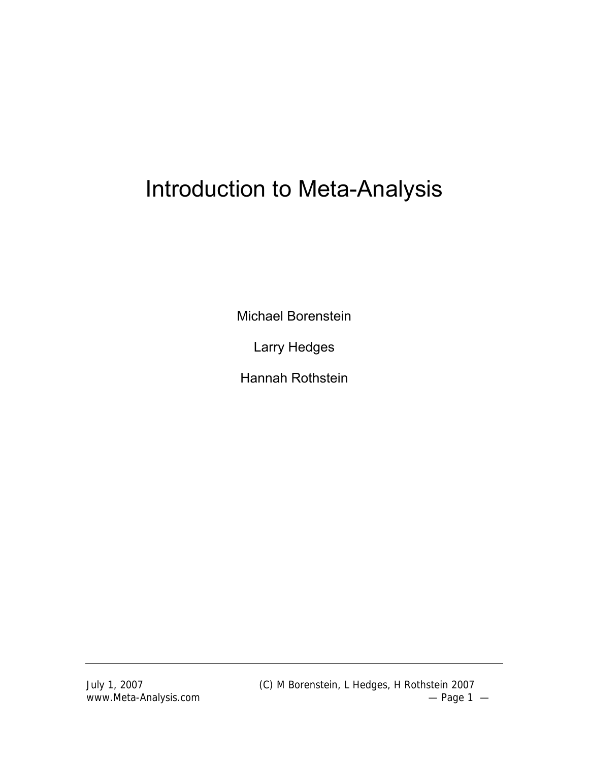# Introduction to Meta-Analysis

Michael Borenstein

Larry Hedges

Hannah Rothstein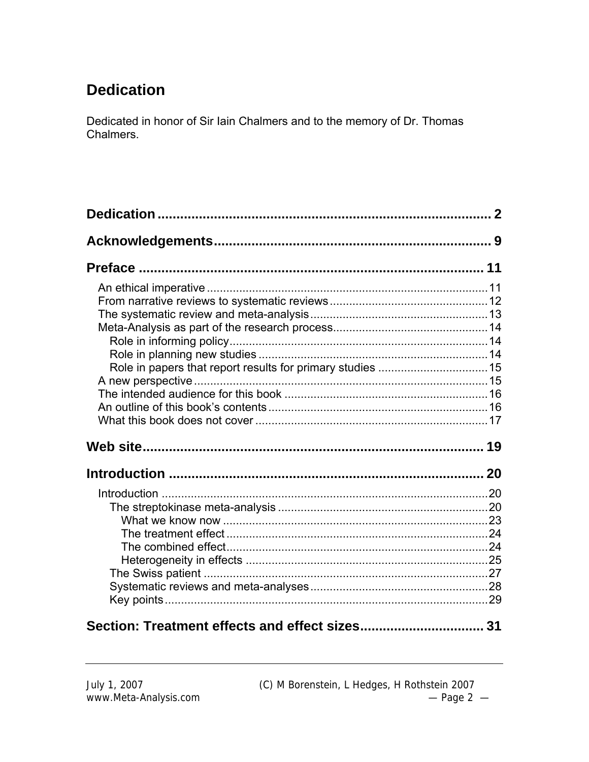# **Dedication**

Dedicated in honor of Sir Iain Chalmers and to the memory of Dr. Thomas Chalmers.

| $0$ as $\mathbf{L}$ as $\mathbf{L}$ as $\mathbf{L}$ as $\mathbf{L}$ as $\mathbf{L}$ and $\mathbf{L}$ $\mathbf{L}$ as $\mathbf{L}$ as $\mathbf{L}$ $\mathbf{L}$ $\mathbf{L}$ $\mathbf{L}$ $\mathbf{L}$ $\mathbf{L}$ $\mathbf{L}$ $\mathbf{L}$ $\mathbf{L}$ $\mathbf{L}$ $\mathbf{L}$ $\mathbf{L}$ $\mathbf{L}$ $\math$ |  |
|-----------------------------------------------------------------------------------------------------------------------------------------------------------------------------------------------------------------------------------------------------------------------------------------------------------------------|--|

#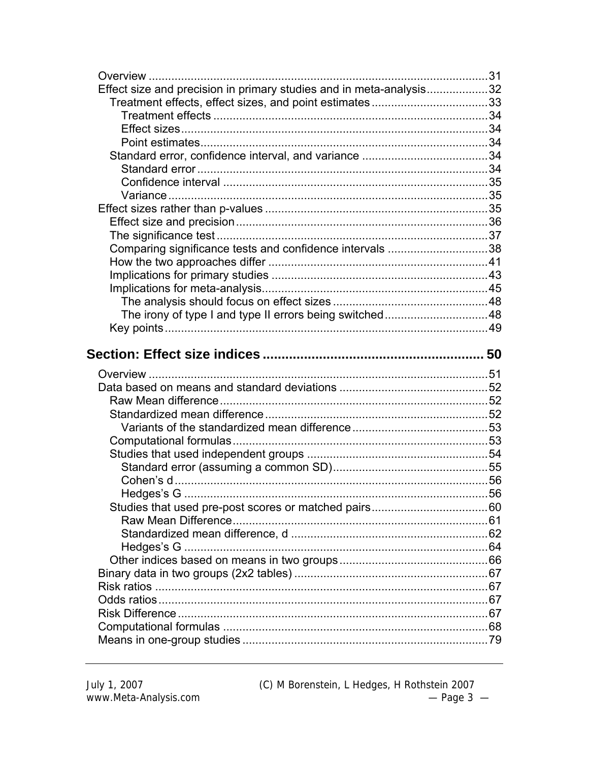| Effect size and precision in primary studies and in meta-analysis32 |  |
|---------------------------------------------------------------------|--|
| Treatment effects, effect sizes, and point estimates33              |  |
|                                                                     |  |
|                                                                     |  |
|                                                                     |  |
|                                                                     |  |
|                                                                     |  |
|                                                                     |  |
|                                                                     |  |
|                                                                     |  |
|                                                                     |  |
|                                                                     |  |
| Comparing significance tests and confidence intervals 38            |  |
|                                                                     |  |
|                                                                     |  |
|                                                                     |  |
|                                                                     |  |
| The irony of type I and type II errors being switched48             |  |
|                                                                     |  |
|                                                                     |  |
|                                                                     |  |
|                                                                     |  |
|                                                                     |  |
|                                                                     |  |
|                                                                     |  |
|                                                                     |  |
|                                                                     |  |
|                                                                     |  |
|                                                                     |  |
|                                                                     |  |
|                                                                     |  |
|                                                                     |  |
|                                                                     |  |
|                                                                     |  |
|                                                                     |  |
|                                                                     |  |
|                                                                     |  |
|                                                                     |  |
|                                                                     |  |
|                                                                     |  |
|                                                                     |  |
|                                                                     |  |

(C) M Borenstein, L Hedges, H Rothstein 2007<br>  $-$  Page 3  $-$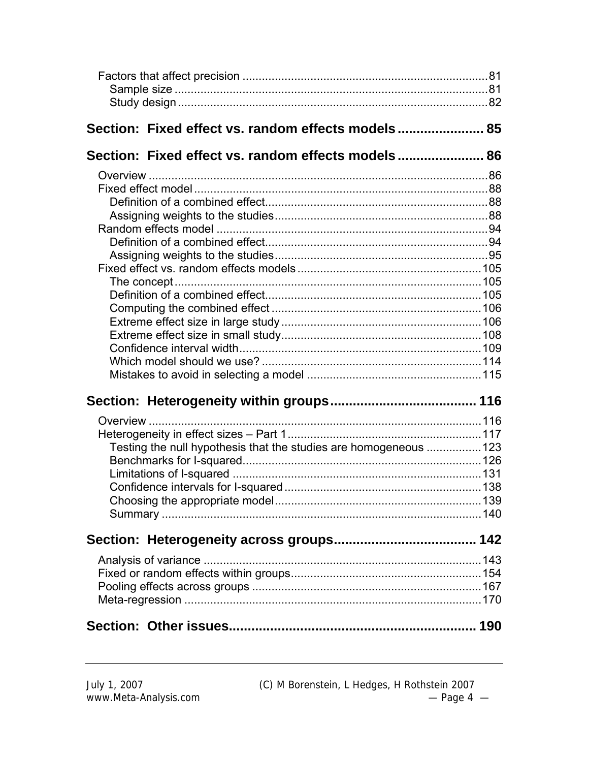| Section: Fixed effect vs. random effects models 85                |  |
|-------------------------------------------------------------------|--|
| Section: Fixed effect vs. random effects models 86                |  |
|                                                                   |  |
|                                                                   |  |
|                                                                   |  |
|                                                                   |  |
|                                                                   |  |
|                                                                   |  |
|                                                                   |  |
|                                                                   |  |
|                                                                   |  |
|                                                                   |  |
|                                                                   |  |
|                                                                   |  |
|                                                                   |  |
|                                                                   |  |
|                                                                   |  |
|                                                                   |  |
|                                                                   |  |
|                                                                   |  |
| Testing the null hypothesis that the studies are homogeneous  123 |  |
|                                                                   |  |
|                                                                   |  |
|                                                                   |  |
|                                                                   |  |
|                                                                   |  |
|                                                                   |  |
|                                                                   |  |
|                                                                   |  |
|                                                                   |  |
|                                                                   |  |
|                                                                   |  |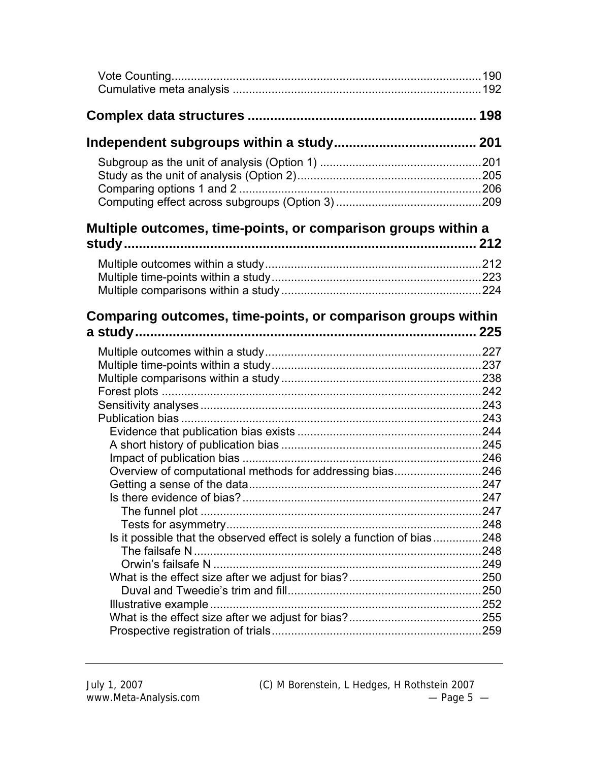| Multiple outcomes, time-points, or comparison groups within a           |  |
|-------------------------------------------------------------------------|--|
|                                                                         |  |
|                                                                         |  |
|                                                                         |  |
|                                                                         |  |
| Comparing outcomes, time-points, or comparison groups within            |  |
|                                                                         |  |
|                                                                         |  |
|                                                                         |  |
|                                                                         |  |
|                                                                         |  |
|                                                                         |  |
|                                                                         |  |
|                                                                         |  |
|                                                                         |  |
|                                                                         |  |
| Overview of computational methods for addressing bias246                |  |
|                                                                         |  |
|                                                                         |  |
|                                                                         |  |
|                                                                         |  |
| Is it possible that the observed effect is solely a function of bias248 |  |
|                                                                         |  |
|                                                                         |  |
|                                                                         |  |
|                                                                         |  |
|                                                                         |  |
|                                                                         |  |
|                                                                         |  |

July 1, 2007 (C) M Borenstein, L Hedges, H Rothstein 2007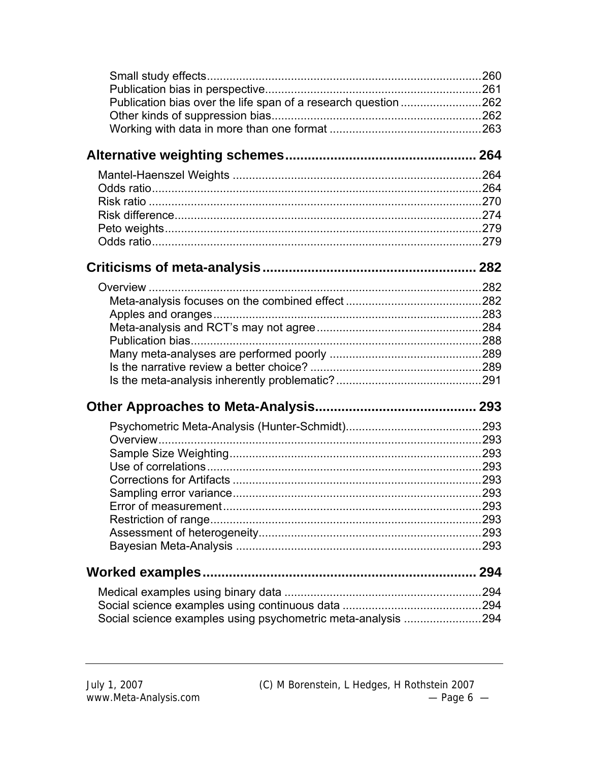| Publication bias over the life span of a research question 262 |  |
|----------------------------------------------------------------|--|
|                                                                |  |
|                                                                |  |
|                                                                |  |
|                                                                |  |
|                                                                |  |
|                                                                |  |
|                                                                |  |
|                                                                |  |
|                                                                |  |
|                                                                |  |
|                                                                |  |
|                                                                |  |
|                                                                |  |
|                                                                |  |
|                                                                |  |
|                                                                |  |
|                                                                |  |
|                                                                |  |
|                                                                |  |
|                                                                |  |
| Overview                                                       |  |
|                                                                |  |
|                                                                |  |
|                                                                |  |
|                                                                |  |
|                                                                |  |
|                                                                |  |
|                                                                |  |
|                                                                |  |
| <b>Worked examples</b>                                         |  |
|                                                                |  |
|                                                                |  |
| Social science examples using psychometric meta-analysis 294   |  |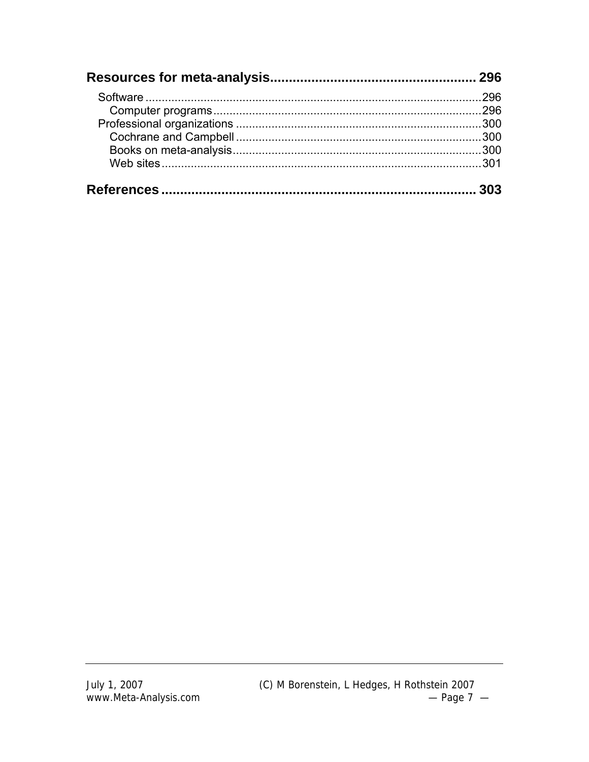| 296 |
|-----|
|     |
|     |
|     |
|     |
|     |
|     |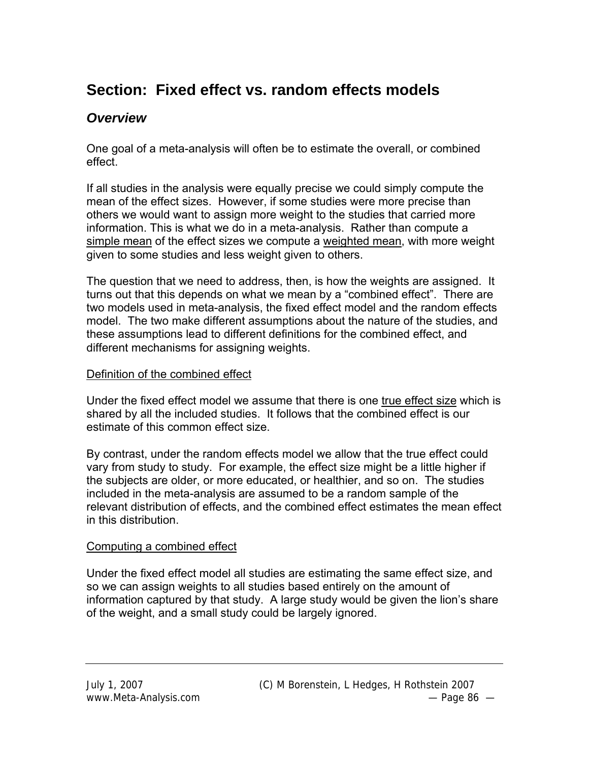# **Section: Fixed effect vs. random effects models**

# *Overview*

One goal of a meta-analysis will often be to estimate the overall, or combined effect.

If all studies in the analysis were equally precise we could simply compute the mean of the effect sizes. However, if some studies were more precise than others we would want to assign more weight to the studies that carried more information. This is what we do in a meta-analysis. Rather than compute a simple mean of the effect sizes we compute a weighted mean, with more weight given to some studies and less weight given to others.

The question that we need to address, then, is how the weights are assigned. It turns out that this depends on what we mean by a "combined effect". There are two models used in meta-analysis, the fixed effect model and the random effects model. The two make different assumptions about the nature of the studies, and these assumptions lead to different definitions for the combined effect, and different mechanisms for assigning weights.

#### Definition of the combined effect

Under the fixed effect model we assume that there is one true effect size which is shared by all the included studies. It follows that the combined effect is our estimate of this common effect size.

By contrast, under the random effects model we allow that the true effect could vary from study to study. For example, the effect size might be a little higher if the subjects are older, or more educated, or healthier, and so on. The studies included in the meta-analysis are assumed to be a random sample of the relevant distribution of effects, and the combined effect estimates the mean effect in this distribution.

#### Computing a combined effect

Under the fixed effect model all studies are estimating the same effect size, and so we can assign weights to all studies based entirely on the amount of information captured by that study. A large study would be given the lion's share of the weight, and a small study could be largely ignored.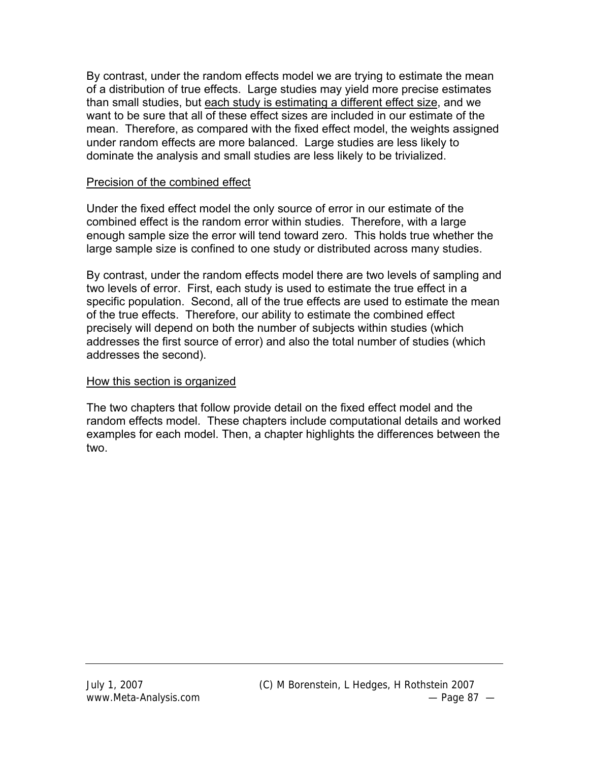By contrast, under the random effects model we are trying to estimate the mean of a distribution of true effects. Large studies may yield more precise estimates than small studies, but each study is estimating a different effect size, and we want to be sure that all of these effect sizes are included in our estimate of the mean. Therefore, as compared with the fixed effect model, the weights assigned under random effects are more balanced. Large studies are less likely to dominate the analysis and small studies are less likely to be trivialized.

#### Precision of the combined effect

Under the fixed effect model the only source of error in our estimate of the combined effect is the random error within studies. Therefore, with a large enough sample size the error will tend toward zero. This holds true whether the large sample size is confined to one study or distributed across many studies.

By contrast, under the random effects model there are two levels of sampling and two levels of error. First, each study is used to estimate the true effect in a specific population. Second, all of the true effects are used to estimate the mean of the true effects. Therefore, our ability to estimate the combined effect precisely will depend on both the number of subjects within studies (which addresses the first source of error) and also the total number of studies (which addresses the second).

#### How this section is organized

The two chapters that follow provide detail on the fixed effect model and the random effects model. These chapters include computational details and worked examples for each model. Then, a chapter highlights the differences between the two.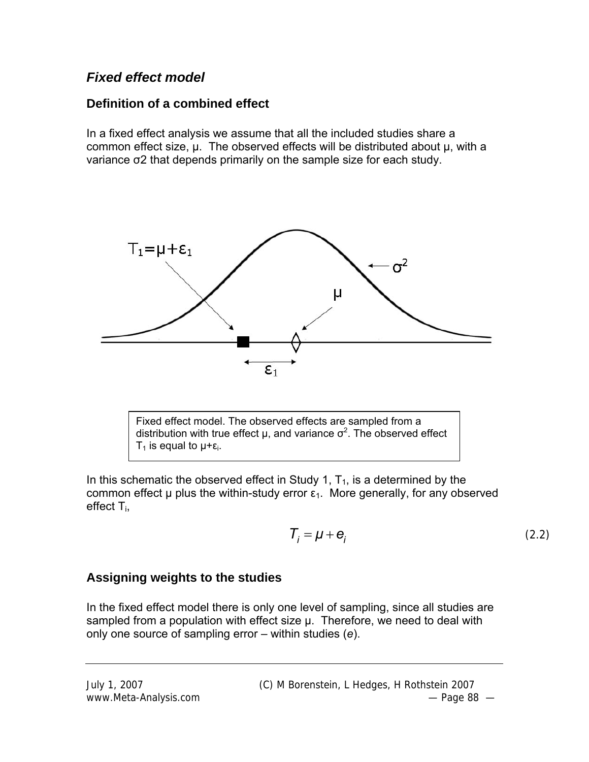# *Fixed effect model*

# **Definition of a combined effect**

In a fixed effect analysis we assume that all the included studies share a common effect size, μ. The observed effects will be distributed about μ, with a variance σ2 that depends primarily on the sample size for each study.



Fixed effect model. The observed effects are sampled from a distribution with true effect  $\mu$ , and variance  $\sigma^2$ . The observed effect T<sub>1</sub> is equal to  $\mu + \varepsilon$ <sub>i</sub>.

In this schematic the observed effect in Study 1,  $T_1$ , is a determined by the common effect  $\mu$  plus the within-study error  $\varepsilon_1$ . More generally, for any observed effect  $T_i$ ,

$$
T_i = \mu + \mathbf{e}_i \tag{2.2}
$$

# **Assigning weights to the studies**

In the fixed effect model there is only one level of sampling, since all studies are sampled from a population with effect size μ. Therefore, we need to deal with only one source of sampling error – within studies (*e*).

July 1, 2007 (C) M Borenstein, L Hedges, H Rothstein 2007 www.Meta-Analysis.com example and the example of the example of the example of the example of the example of the example of the example of the example of the example of the example of the example of the example of the exam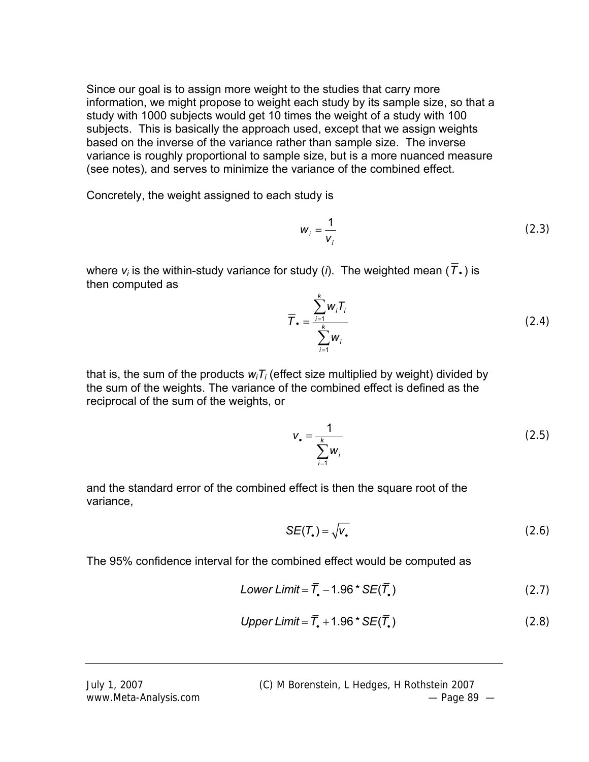Since our goal is to assign more weight to the studies that carry more information, we might propose to weight each study by its sample size, so that a study with 1000 subjects would get 10 times the weight of a study with 100 subjects. This is basically the approach used, except that we assign weights based on the inverse of the variance rather than sample size. The inverse variance is roughly proportional to sample size, but is a more nuanced measure (see notes), and serves to minimize the variance of the combined effect.

Concretely, the weight assigned to each study is

$$
w_i = \frac{1}{v_i} \tag{2.3}
$$

where  $v_i$  is the within-study variance for study (*i*). The weighted mean ( $\overline{T}$ .) is then computed as

$$
\overline{T}_{\bullet} = \frac{\sum_{i=1}^{k} W_{i} T_{i}}{\sum_{i=1}^{k} W_{i}}
$$
 (2.4)

that is, the sum of the products  $w_i T_i$  (effect size multiplied by weight) divided by the sum of the weights. The variance of the combined effect is defined as the reciprocal of the sum of the weights, or

$$
V_{\bullet} = \frac{1}{\sum_{i=1}^{k} W_i}
$$
 (2.5)

and the standard error of the combined effect is then the square root of the variance,

$$
SE(\overline{T}_{\bullet}) = \sqrt{V_{\bullet}}
$$
 (2.6)

The 95% confidence interval for the combined effect would be computed as

Lower Limit = 
$$
\overline{T}_{\bullet}
$$
 – 1.96\* SE( $\overline{T}_{\bullet}$ ) (2.7)

$$
Upper Limit = \overline{T}_* + 1.96 * SE(\overline{T}_*)
$$
\n(2.8)

July 1, 2007 (C) M Borenstein, L Hedges, H Rothstein 2007

www.Meta-Analysis.com example and the contract of the Page 89  $-$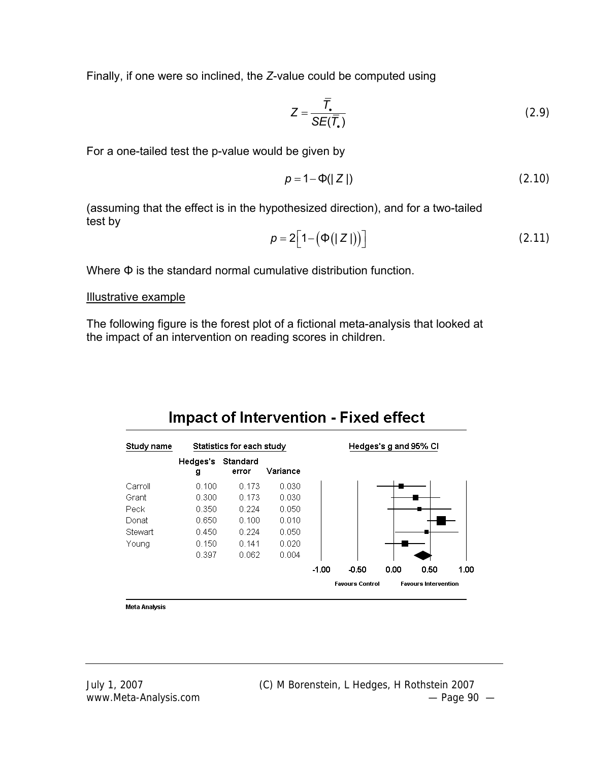Finally, if one were so inclined, the *Z*-value could be computed using

$$
Z = \frac{\overline{T}}{SE(\overline{T}_{\bullet})}
$$
 (2.9)

For a one-tailed test the p-value would be given by

$$
p = 1 - \Phi(|Z|)
$$
 (2.10)

(assuming that the effect is in the hypothesized direction), and for a two-tailed test by

$$
p = 2\left[1 - \left(\Phi(|Z|)\right)\right] \tag{2.11}
$$

Where Φ is the standard normal cumulative distribution function.

#### Illustrative example

The following figure is the forest plot of a fictional meta-analysis that looked at the impact of an intervention on reading scores in children.



# **Impact of Intervention - Fixed effect**

**Meta Analysis**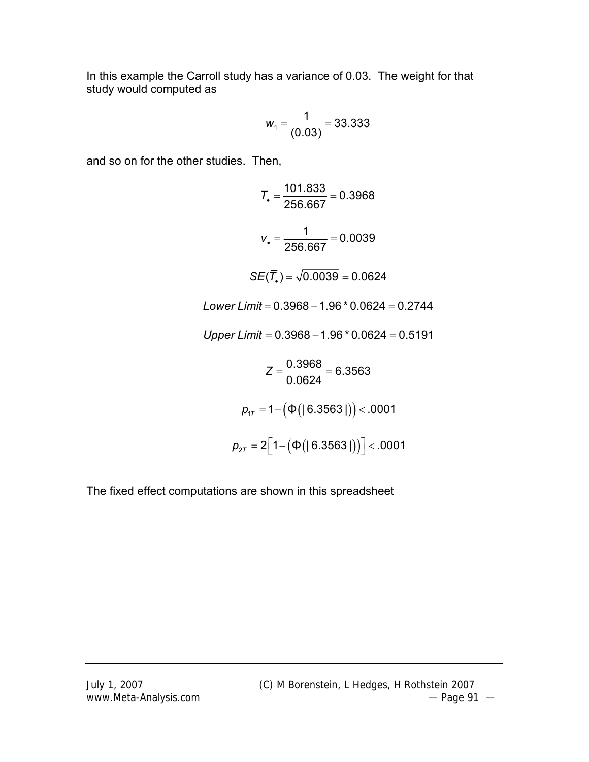In this example the Carroll study has a variance of 0.03. The weight for that study would computed as

$$
W_1 = \frac{1}{(0.03)} = 33.333
$$

and so on for the other studies. Then,

$$
\overline{T}_{\bullet} = \frac{101.833}{256.667} = 0.3968
$$
\n
$$
v_{\bullet} = \frac{1}{256.667} = 0.0039
$$
\n
$$
SE(\overline{T}_{\bullet}) = \sqrt{0.0039} = 0.0624
$$
\nLower Limit = 0.3968 - 1.96 \* 0.0624 = 0.2744  
\nUpper Limit = 0.3968 - 1.96 \* 0.0624 = 0.5191  
\n
$$
Z = \frac{0.3968}{0.0624} = 6.3563
$$
\n
$$
p_{1T} = 1 - (\Phi(|6.3563|)) < .0001
$$
\n
$$
p_{2T} = 2[1 - (\Phi(|6.3563|))] < .0001
$$

The fixed effect computations are shown in this spreadsheet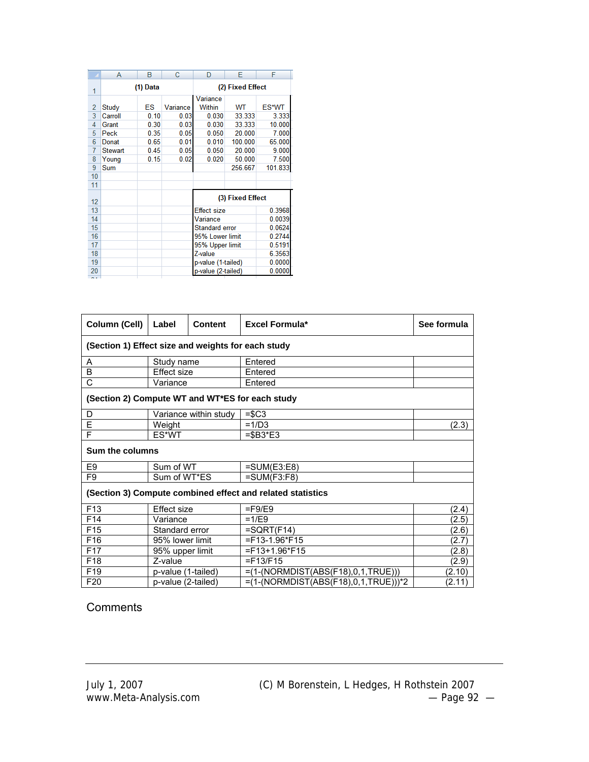|                | A              | В        | C        | D                  | F                | F.      |  |  |
|----------------|----------------|----------|----------|--------------------|------------------|---------|--|--|
| 1              |                | (1) Data |          | (2) Fixed Effect   |                  |         |  |  |
|                |                |          |          | Variance           |                  |         |  |  |
| $\overline{2}$ | Study          | ES       | Variance | Within             | WТ               | ES*WT   |  |  |
| 3              | Carroll        | 0.10     | 0.03     | 0.030              | 33.333           | 3.333   |  |  |
| 4              | Grant          | 0.30     | 0.03     | 0.030              | 33.333           | 10.000  |  |  |
| 5              | Peck           | 0.35     | 0.05     | 0.050              | 20.000           | 7.000   |  |  |
| 6              | Donat          | 0.65     | 0.01     | 0.010              | 100.000          | 65.000  |  |  |
| 7              | <b>Stewart</b> | 0.45     | 0.05     | 0.050              | 20.000           | 9.000   |  |  |
| 8              | Young          | 0.15     | 0.02     | 0.020              | 50.000           | 7.500   |  |  |
| 9              | Sum            |          |          |                    | 256.667          | 101.833 |  |  |
| 10             |                |          |          |                    |                  |         |  |  |
| 11             |                |          |          |                    |                  |         |  |  |
| 12             |                |          |          |                    | (3) Fixed Effect |         |  |  |
| 13             |                |          |          | <b>Effect size</b> |                  | 0.3968  |  |  |
| 14             |                |          |          | Variance           |                  | 0.0039  |  |  |
| 15             |                |          |          | Standard error     |                  | 0.0624  |  |  |
| 16             |                |          |          | 95% Lower limit    | 0.2744           |         |  |  |
| 17             |                |          |          | 95% Upper limit    | 0.5191           |         |  |  |
| 18             |                |          |          | Z-value            | 6.3563           |         |  |  |
| 19             |                |          |          | p-value (1-tailed) |                  | 0.0000  |  |  |
| 20             |                |          |          | p-value (2-tailed) |                  | 0.0000  |  |  |
| n a            |                |          |          |                    |                  |         |  |  |

| Column (Cell)                                      | Label              | <b>Content</b>        | <b>Excel Formula*</b>                                      | See formula |  |  |  |  |
|----------------------------------------------------|--------------------|-----------------------|------------------------------------------------------------|-------------|--|--|--|--|
| (Section 1) Effect size and weights for each study |                    |                       |                                                            |             |  |  |  |  |
| Α                                                  | Study name         |                       | Entered                                                    |             |  |  |  |  |
| B                                                  | <b>Effect size</b> |                       | Entered                                                    |             |  |  |  |  |
| C                                                  | Variance           |                       | Entered                                                    |             |  |  |  |  |
| (Section 2) Compute WT and WT*ES for each study    |                    |                       |                                                            |             |  |  |  |  |
| D                                                  |                    | Variance within study | $=$ \$C3                                                   |             |  |  |  |  |
| Ē                                                  | Weight             |                       | $=1/D3$                                                    | (2.3)       |  |  |  |  |
| F                                                  | ES*WT              |                       | $=$ \$B3*E3                                                |             |  |  |  |  |
| <b>Sum the columns</b>                             |                    |                       |                                                            |             |  |  |  |  |
| E9                                                 | Sum of WT          |                       | $=SUM(E3:E8)$                                              |             |  |  |  |  |
| F <sub>9</sub>                                     | Sum of WT*ES       |                       | $=SUM(F3:F8)$                                              |             |  |  |  |  |
|                                                    |                    |                       | (Section 3) Compute combined effect and related statistics |             |  |  |  |  |
| F <sub>13</sub>                                    | <b>Effect size</b> |                       | $=$ F9/E9                                                  | (2.4)       |  |  |  |  |
| F <sub>14</sub>                                    | Variance           |                       | $=1/E9$                                                    | (2.5)       |  |  |  |  |
| F <sub>15</sub>                                    | Standard error     |                       | $=SQRT$ (F14)                                              | (2.6)       |  |  |  |  |
| F16                                                | 95% lower limit    |                       | $=$ F13-1.96*F15                                           | (2.7)       |  |  |  |  |
| F <sub>17</sub>                                    | 95% upper limit    |                       | $=$ F13+1.96*F15                                           | (2.8)       |  |  |  |  |
| F18                                                | Z-value            |                       | $=$ F13/F15                                                | (2.9)       |  |  |  |  |
| F <sub>19</sub>                                    | p-value (1-tailed) |                       | $=(1-(NORMDIST(ABS(F18),0,1,TRUE)))$                       | (2.10)      |  |  |  |  |
| F <sub>20</sub>                                    | p-value (2-tailed) |                       | $=(1-(NORMDIST(ABS(F18),0,1,TRUE)))$ *2                    | (2.11)      |  |  |  |  |

### **Comments**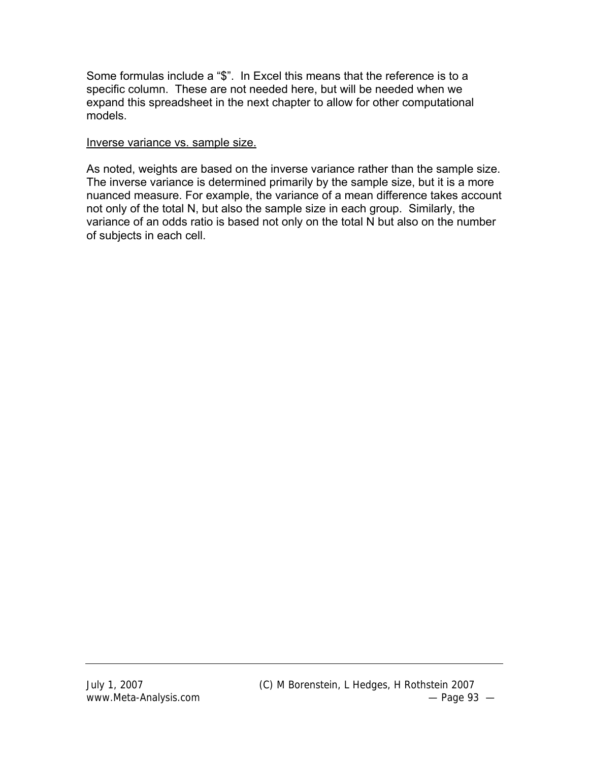Some formulas include a "\$". In Excel this means that the reference is to a specific column. These are not needed here, but will be needed when we expand this spreadsheet in the next chapter to allow for other computational models.

#### Inverse variance vs. sample size.

As noted, weights are based on the inverse variance rather than the sample size. The inverse variance is determined primarily by the sample size, but it is a more nuanced measure. For example, the variance of a mean difference takes account not only of the total N, but also the sample size in each group. Similarly, the variance of an odds ratio is based not only on the total N but also on the number of subjects in each cell.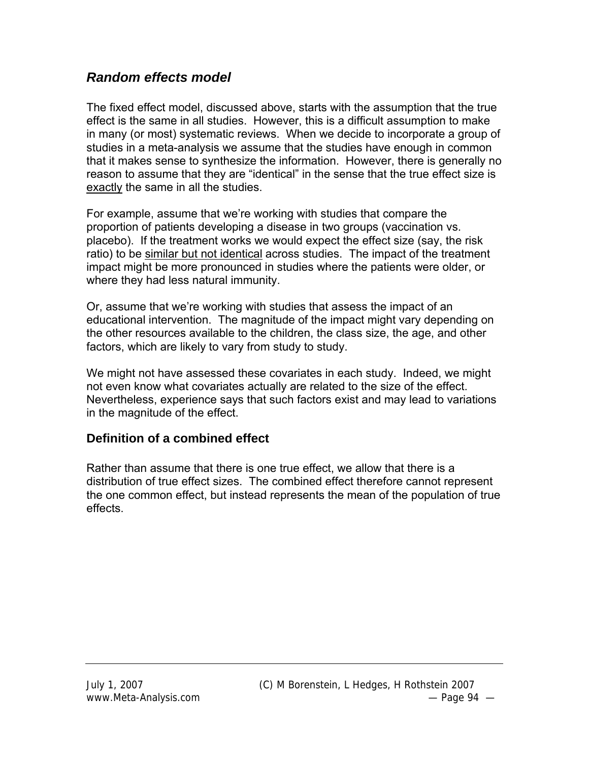# *Random effects model*

The fixed effect model, discussed above, starts with the assumption that the true effect is the same in all studies. However, this is a difficult assumption to make in many (or most) systematic reviews. When we decide to incorporate a group of studies in a meta-analysis we assume that the studies have enough in common that it makes sense to synthesize the information. However, there is generally no reason to assume that they are "identical" in the sense that the true effect size is exactly the same in all the studies.

For example, assume that we're working with studies that compare the proportion of patients developing a disease in two groups (vaccination vs. placebo). If the treatment works we would expect the effect size (say, the risk ratio) to be similar but not identical across studies. The impact of the treatment impact might be more pronounced in studies where the patients were older, or where they had less natural immunity.

Or, assume that we're working with studies that assess the impact of an educational intervention. The magnitude of the impact might vary depending on the other resources available to the children, the class size, the age, and other factors, which are likely to vary from study to study.

We might not have assessed these covariates in each study. Indeed, we might not even know what covariates actually are related to the size of the effect. Nevertheless, experience says that such factors exist and may lead to variations in the magnitude of the effect.

# **Definition of a combined effect**

Rather than assume that there is one true effect, we allow that there is a distribution of true effect sizes. The combined effect therefore cannot represent the one common effect, but instead represents the mean of the population of true effects.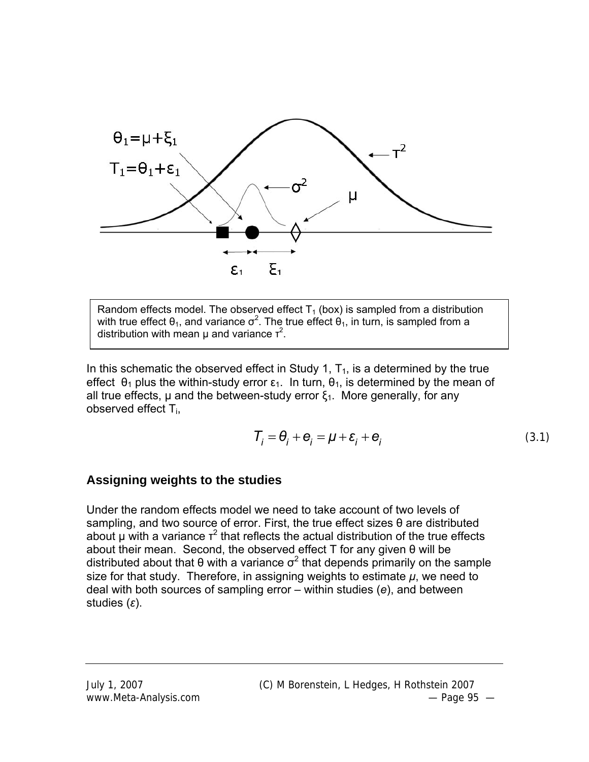

Random effects model. The observed effect  $T_1$  (box) is sampled from a distribution with true effect  $\theta_1$ , and variance  $\sigma^2$ . The true effect  $\theta_1$ , in turn, is sampled from a distribution with mean  $\mu$  and variance  $\tau^2$ .

In this schematic the observed effect in Study 1,  $T_1$ , is a determined by the true effect  $\theta_1$  plus the within-study error  $\varepsilon_1$ . In turn,  $\theta_1$ , is determined by the mean of all true effects,  $\mu$  and the between-study error  $\xi_1$ . More generally, for any observed effect Ti,

$$
\mathcal{T}_i = \mathbf{\theta}_i + \mathbf{e}_i = \mu + \mathbf{\varepsilon}_i + \mathbf{e}_i
$$
\n(3.1)

#### **Assigning weights to the studies**

Under the random effects model we need to take account of two levels of sampling, and two source of error. First, the true effect sizes θ are distributed about  $\mu$  with a variance  $\tau^2$  that reflects the actual distribution of the true effects about their mean. Second, the observed effect T for any given θ will be distributed about that  $\theta$  with a variance  $\sigma^2$  that depends primarily on the sample size for that study. Therefore, in assigning weights to estimate  $\mu$ , we need to deal with both sources of sampling error – within studies (*e*), and between studies (*ε*).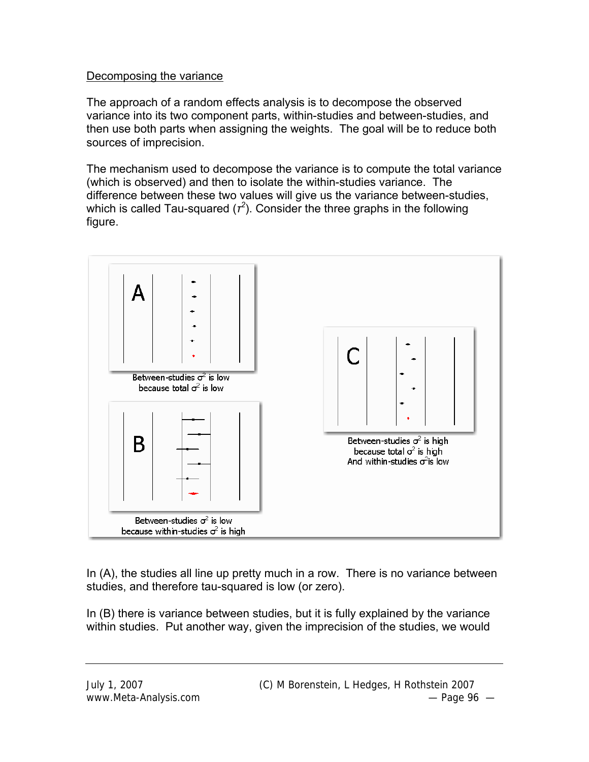#### Decomposing the variance

The approach of a random effects analysis is to decompose the observed variance into its two component parts, within-studies and between-studies, and then use both parts when assigning the weights. The goal will be to reduce both sources of imprecision.

The mechanism used to decompose the variance is to compute the total variance (which is observed) and then to isolate the within-studies variance. The difference between these two values will give us the variance between-studies, which is called Tau-squared  $(r^2)$ . Consider the three graphs in the following figure.



In (A), the studies all line up pretty much in a row. There is no variance between studies, and therefore tau-squared is low (or zero).

In (B) there is variance between studies, but it is fully explained by the variance within studies. Put another way, given the imprecision of the studies, we would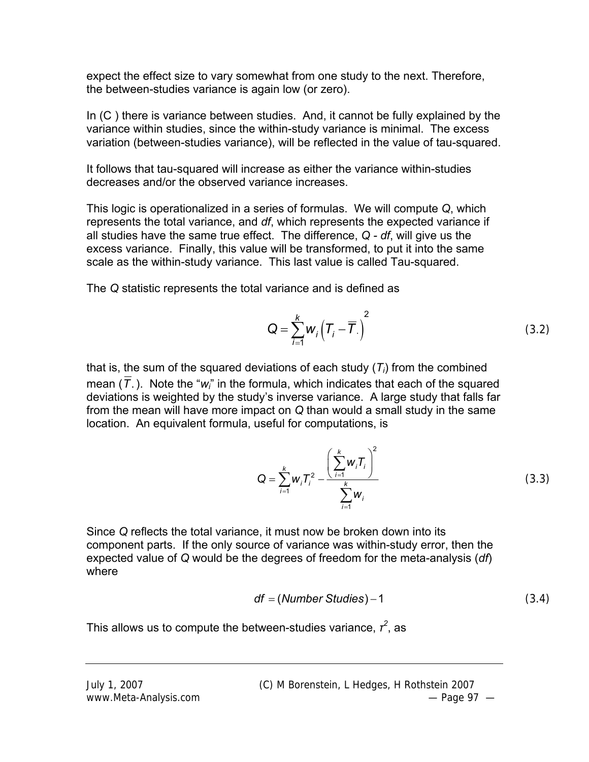expect the effect size to vary somewhat from one study to the next. Therefore, the between-studies variance is again low (or zero).

In (C ) there is variance between studies. And, it cannot be fully explained by the variance within studies, since the within-study variance is minimal. The excess variation (between-studies variance), will be reflected in the value of tau-squared.

It follows that tau-squared will increase as either the variance within-studies decreases and/or the observed variance increases.

This logic is operationalized in a series of formulas. We will compute *Q*, which represents the total variance, and *df*, which represents the expected variance if all studies have the same true effect. The difference, *Q - df*, will give us the excess variance. Finally, this value will be transformed, to put it into the same scale as the within-study variance. This last value is called Tau-squared.

The *Q* statistic represents the total variance and is defined as

$$
Q = \sum_{i=1}^{k} W_i \left( T_i - \overline{T} \right)^2 \tag{3.2}
$$

that is, the sum of the squared deviations of each study (*Ti*) from the combined mean (*T*.). Note the "*wi*" in the formula, which indicates that each of the squared deviations is weighted by the study's inverse variance. A large study that falls far from the mean will have more impact on *Q* than would a small study in the same location. An equivalent formula, useful for computations, is

$$
Q = \sum_{i=1}^{k} w_i T_i^2 - \frac{\left(\sum_{i=1}^{k} w_i T_i\right)^2}{\sum_{i=1}^{k} w_i}
$$
(3.3)

Since *Q* reflects the total variance, it must now be broken down into its component parts. If the only source of variance was within-study error, then the expected value of *Q* would be the degrees of freedom for the meta-analysis (*df*) where

$$
df = (Number Studies) - 1 \tag{3.4}
$$

This allows us to compute the between-studies variance,  $r^2$ , as

July 1, 2007 (C) M Borenstein, L Hedges, H Rothstein 2007 www.Meta-Analysis.com example and the set of the page 97  $-$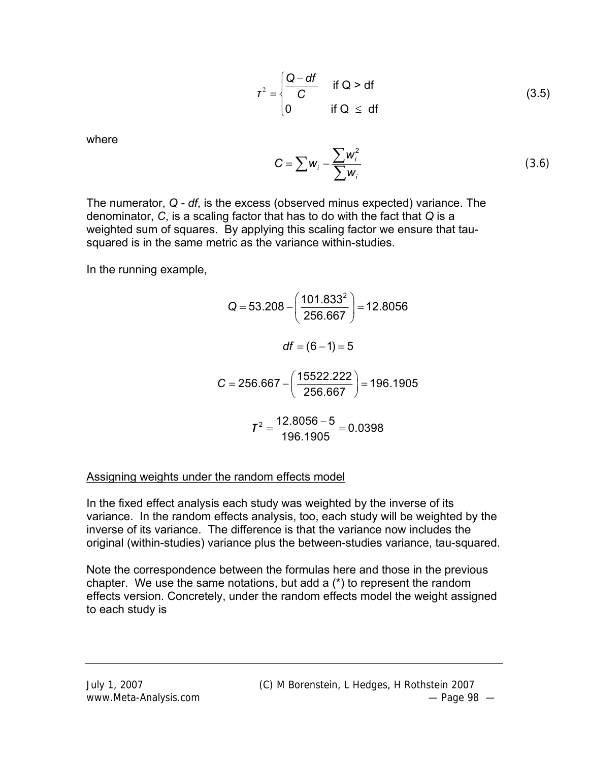$$
\tau^2 = \begin{cases} \frac{Q - df}{C} & \text{if } Q > df \\ 0 & \text{if } Q \le df \end{cases}
$$
 (3.5)

where

$$
C = \sum w_i - \frac{\sum w_i^2}{\sum w_i}
$$
 (3.6)

The numerator, *Q - df*, is the excess (observed minus expected) variance. The denominator, *C*, is a scaling factor that has to do with the fact that *Q* is a weighted sum of squares. By applying this scaling factor we ensure that tausquared is in the same metric as the variance within-studies.

In the running example,

$$
Q = 53.208 - \left(\frac{101.833^2}{256.667}\right) = 12.8056
$$
  

$$
df = (6 - 1) = 5
$$
  

$$
C = 256.667 - \left(\frac{15522.222}{256.667}\right) = 196.1905
$$
  

$$
T^2 = \frac{12.8056 - 5}{196.1905} = 0.0398
$$

#### Assigning weights under the random effects model

In the fixed effect analysis each study was weighted by the inverse of its variance. In the random effects analysis, too, each study will be weighted by the inverse of its variance. The difference is that the variance now includes the original (within-studies) variance plus the between-studies variance, tau-squared.

Note the correspondence between the formulas here and those in the previous chapter. We use the same notations, but add a (\*) to represent the random effects version. Concretely, under the random effects model the weight assigned to each study is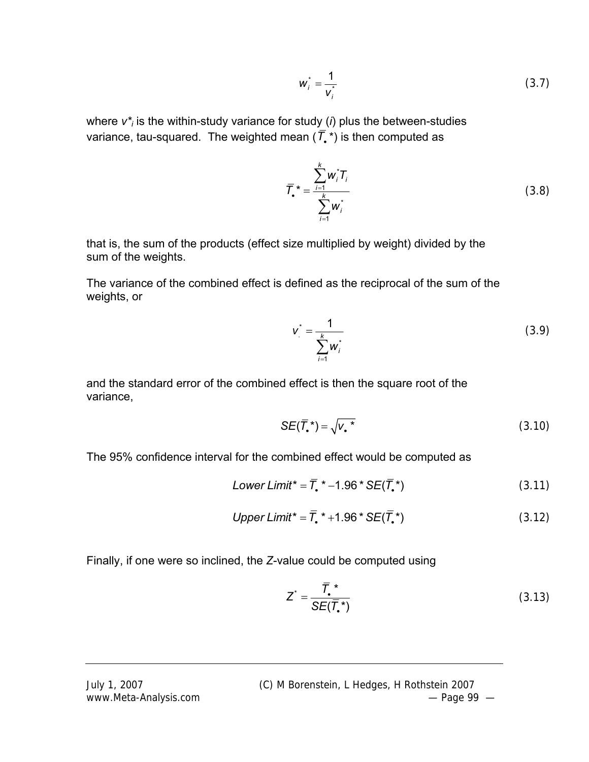$$
w_i^* = \frac{1}{v_i^*}
$$
 (3.7)

where *v\*i* is the within-study variance for study (*i*) plus the between-studies variance, tau-squared. The weighted mean  $(\bar{T},*)$  is then computed as

$$
\overline{T}_{\bullet}^* = \frac{\sum_{i=1}^k w_i^* T_i}{\sum_{i=1}^k w_i^*}
$$
 (3.8)

that is, the sum of the products (effect size multiplied by weight) divided by the sum of the weights.

The variance of the combined effect is defined as the reciprocal of the sum of the weights, or

$$
v_{.}^{*} = \frac{1}{\sum_{i=1}^{k} w_{i}^{*}}
$$
 (3.9)

and the standard error of the combined effect is then the square root of the variance,

$$
SE(\overline{T}_{\bullet}^*) = \sqrt{{\mathsf{v}_{\bullet}}^*} \tag{3.10}
$$

The 95% confidence interval for the combined effect would be computed as

Lower Limit<sup>\*</sup> = 
$$
\overline{T}
$$
, \* -1.96 \* SE( $\overline{T}$ , \*) (3.11)

$$
Upper Limit^* = \overline{T}_\bullet^* + 1.96^* SE(\overline{T}_\bullet^*)
$$
\n(3.12)

Finally, if one were so inclined, the *Z*-value could be computed using

$$
Z^* = \frac{\overline{T}_\bullet \cdot \mathbf{S}^{\mathcal{F}}}{\mathbf{S} \mathbf{E}(\overline{T}_\bullet \cdot)}\tag{3.13}
$$

July 1, 2007 (C) M Borenstein, L Hedges, H Rothstein 2007 www.Meta-Analysis.com example and the example of the Page 99  $-$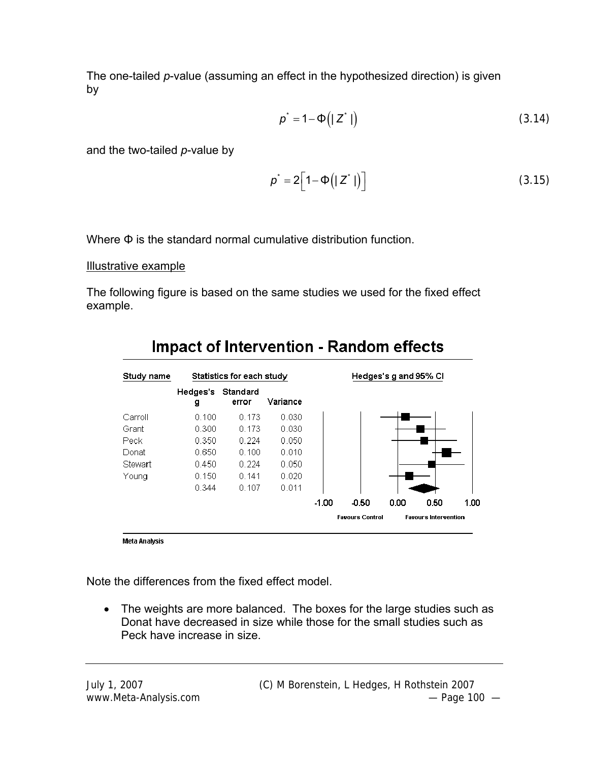The one-tailed *p*-value (assuming an effect in the hypothesized direction) is given by

$$
p^* = 1 - \Phi(|Z^*|) \tag{3.14}
$$

and the two-tailed *p*-value by

$$
p^* = 2\Big[1 - \Phi\big(|Z^*|\big)\Big] \tag{3.15}
$$

Where Φ is the standard normal cumulative distribution function.

#### Illustrative example

The following figure is based on the same studies we used for the fixed effect example.



# **Impact of Intervention - Random effects**

Meta Analysis

Note the differences from the fixed effect model.

• The weights are more balanced. The boxes for the large studies such as Donat have decreased in size while those for the small studies such as Peck have increase in size.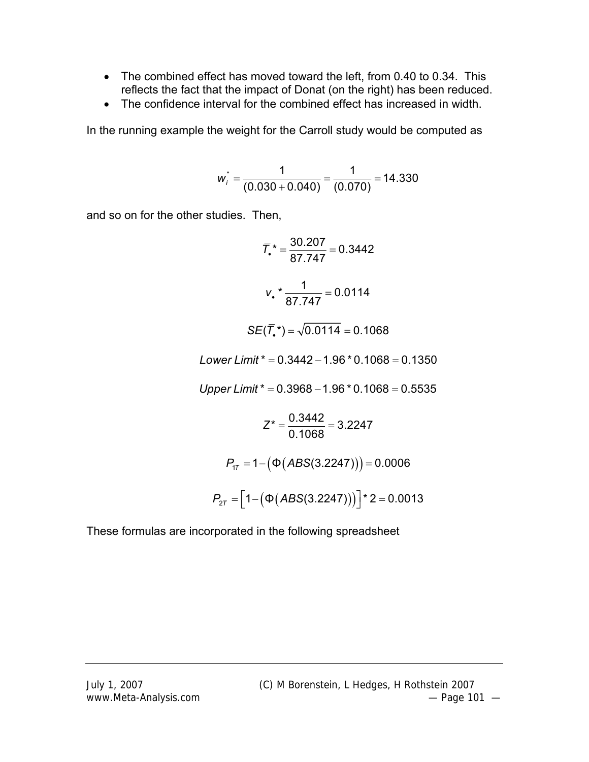- The combined effect has moved toward the left, from 0.40 to 0.34. This reflects the fact that the impact of Donat (on the right) has been reduced.
- The confidence interval for the combined effect has increased in width.

In the running example the weight for the Carroll study would be computed as

$$
w_i^* = \frac{1}{(0.030 + 0.040)} = \frac{1}{(0.070)} = 14.330
$$

and so on for the other studies. Then,

$$
\overline{T}_{\bullet}^* = \frac{30.207}{87.747} = 0.3442
$$
  

$$
V_{\bullet}^* = \frac{1}{87.747} = 0.0114
$$
  

$$
SE(\overline{T}_{\bullet}^*) = \sqrt{0.0114} = 0.1068
$$

 $Lower Limit^* = 0.3442 - 1.96 * 0.1068 = 0.1350$ 

 $Upper Limit^* = 0.3968 - 1.96 * 0.1068 = 0.5535$ 

$$
Z^* = \frac{0.3442}{0.1068} = 3.2247
$$

$$
P_{1T} = 1 - (\Phi(ABS(3.2247))) = 0.0006
$$

$$
P_{2T} = [1 - (\Phi(ABS(3.2247)))]^{*} = 0.0013
$$

These formulas are incorporated in the following spreadsheet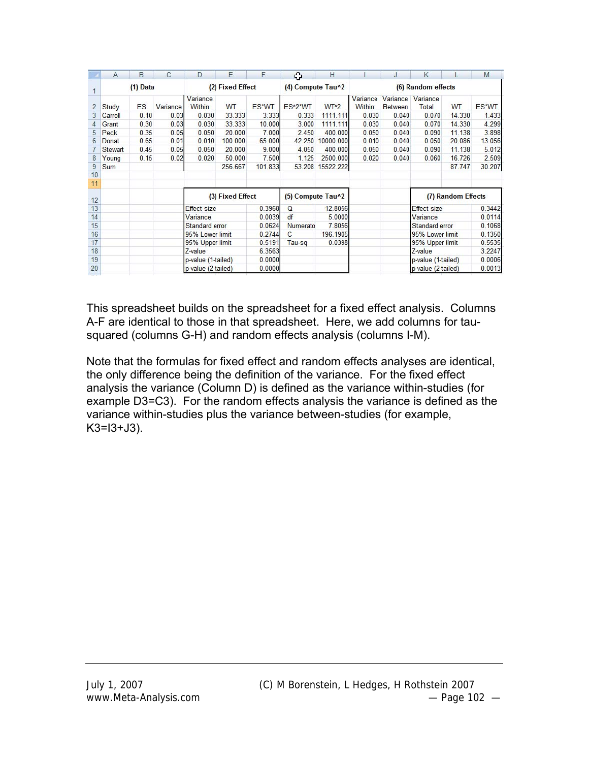|                | $\mathsf{A}$ | B    | C        | D                  | E                | F       | ≎                    | Н                |                    | J                          | К                  |                    | M      |
|----------------|--------------|------|----------|--------------------|------------------|---------|----------------------|------------------|--------------------|----------------------------|--------------------|--------------------|--------|
|                | $(1)$ Data   |      |          | (2) Fixed Effect   |                  |         | (4) Compute Tau^2    |                  | (6) Random effects |                            |                    |                    |        |
| $\overline{2}$ | Study        | ES   | Variance | Variance<br>Within | WT               | ES*WT   | ES <sup>^2*</sup> WT | WT <sup>^2</sup> | Variance<br>Within | Variance<br><b>Between</b> | Variance<br>Total  | WT                 | ES*WT  |
| 3              | Carroll      | 0.10 | 0.03     | 0.030              | 33.333           | 3.333   | 0.333                | 1111.111         | 0.030              | 0.040                      | 0.070              | 14.330             | 1.433  |
| 4              | Grant        | 0.30 | 0.03     | 0.030              | 33.333           | 10.000  | 3.000                | 1111.111         | 0.030              | 0.040                      | 0.070              | 14.330             | 4.299  |
| 5              | Peck         | 0.35 | 0.05     | 0.050              | 20,000           | 7.000   | 2.450                | 400,000          | 0.050              | 0.040                      | 0.090              | 11.138             | 3.898  |
| $6\phantom{1}$ | Donat        | 0.65 | 0.01     | 0.010              | 100,000          | 65.000  | 42.250               | 10000.000        | 0.010              | 0.040                      | 0.050              | 20.086             | 13.056 |
|                | Stewart      | 0.45 | 0.05     | 0.050              | 20,000           | 9.000   | 4.050                | 400,000          | 0.050              | 0.040                      | 0.090              | 11.138             | 5.012  |
| 8              | Young        | 0.15 | 0.02     | 0.020              | 50.000           | 7.500   | 1.125                | 2500.000         | 0.020              | 0.040                      | 0.060              | 16.726             | 2.509  |
| $\overline{9}$ | Sum          |      |          |                    | 256,667          | 101.833 | 53.208               | 15522.222        |                    |                            |                    | 87.747             | 30.207 |
| 10             |              |      |          |                    |                  |         |                      |                  |                    |                            |                    |                    |        |
| 11             |              |      |          |                    |                  |         |                      |                  |                    |                            |                    |                    |        |
| 12             |              |      |          |                    | (3) Fixed Effect |         | (5) Compute Tau^2    |                  |                    |                            |                    | (7) Random Effects |        |
| 13             |              |      |          | <b>Effect size</b> |                  | 0.3968  | $\Omega$             | 12.8056          |                    |                            | Effect size        |                    | 0.3442 |
| 14             |              |      |          | Variance           |                  | 0.0039  | df                   | 5.0000           |                    |                            | Variance           |                    | 0.0114 |
| 15             |              |      |          | Standard error     |                  | 0.0624  | Numerato             | 7.8056           |                    |                            | Standard error     |                    | 0.1068 |
| 16             |              |      |          | 95% Lower limit    |                  | 0.2744  | C                    | 196.1905         |                    |                            | 95% Lower limit    |                    | 0.1350 |
| 17             |              |      |          | 95% Upper limit    |                  | 0.5191  | Tau-sq               | 0.0398           |                    |                            | 95% Upper limit    |                    | 0.5535 |
| 18             |              |      |          | Z-value            |                  | 6.3563  |                      |                  |                    |                            | Z-value            |                    | 3.2247 |
| 19             |              |      |          | p-value (1-tailed) |                  | 0.0000  |                      |                  |                    |                            | p-value (1-tailed) |                    | 0.0006 |
| 20             |              |      |          | p-value (2-tailed) |                  | 0.0000  |                      |                  |                    |                            | p-value (2-tailed) |                    | 0.0013 |

This spreadsheet builds on the spreadsheet for a fixed effect analysis. Columns A-F are identical to those in that spreadsheet. Here, we add columns for tausquared (columns G-H) and random effects analysis (columns I-M).

Note that the formulas for fixed effect and random effects analyses are identical, the only difference being the definition of the variance. For the fixed effect analysis the variance (Column D) is defined as the variance within-studies (for example D3=C3). For the random effects analysis the variance is defined as the variance within-studies plus the variance between-studies (for example,  $K3 = 13 + J3$ ).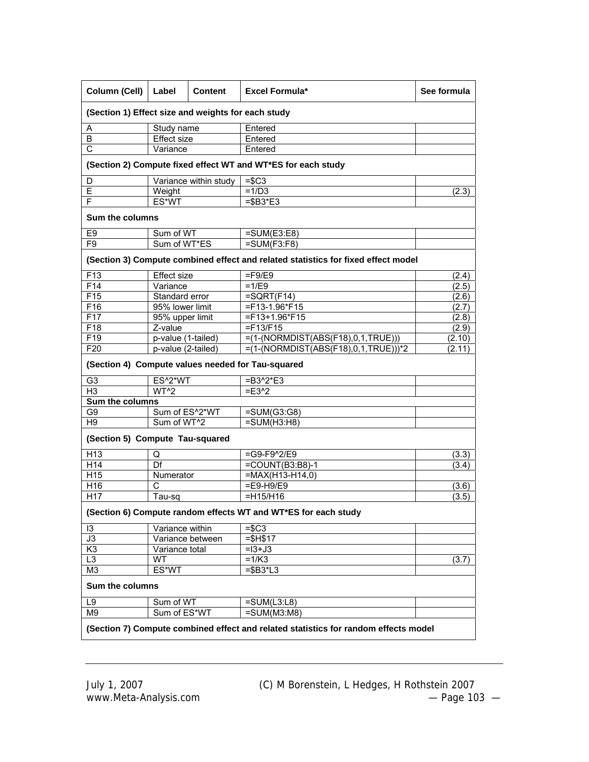| Column (Cell)                                                  | Label              | <b>Content</b>        | Excel Formula*                                                                      | See formula |  |  |  |  |
|----------------------------------------------------------------|--------------------|-----------------------|-------------------------------------------------------------------------------------|-------------|--|--|--|--|
| (Section 1) Effect size and weights for each study             |                    |                       |                                                                                     |             |  |  |  |  |
| Α                                                              | Study name         |                       | Entered                                                                             |             |  |  |  |  |
| B                                                              | <b>Effect size</b> |                       | Entered                                                                             |             |  |  |  |  |
| $\overline{\text{c}}$<br>Variance                              |                    |                       | Entered                                                                             |             |  |  |  |  |
|                                                                |                    |                       | (Section 2) Compute fixed effect WT and WT*ES for each study                        |             |  |  |  |  |
| D                                                              |                    | Variance within study | $=$ \$C3                                                                            |             |  |  |  |  |
| Ε                                                              | Weight             |                       | $=1/D3$                                                                             | (2.3)       |  |  |  |  |
| F                                                              | ES*WT              |                       | $= $B3*E3$                                                                          |             |  |  |  |  |
| <b>Sum the columns</b>                                         |                    |                       |                                                                                     |             |  |  |  |  |
| E <sub>9</sub>                                                 | Sum of WT          |                       | $=SUM(E3:E8)$                                                                       |             |  |  |  |  |
| F <sub>9</sub>                                                 | Sum of WT*ES       |                       | $\overline{=}SUM(F3:F8)$                                                            |             |  |  |  |  |
|                                                                |                    |                       | (Section 3) Compute combined effect and related statistics for fixed effect model   |             |  |  |  |  |
| F <sub>13</sub>                                                | <b>Effect size</b> |                       | $=$ F9/E9                                                                           | (2.4)       |  |  |  |  |
| F14                                                            | Variance           |                       | $=1/E9$                                                                             | (2.5)       |  |  |  |  |
| F15                                                            | Standard error     |                       | $=SQRT$ (F14)                                                                       | (2.6)       |  |  |  |  |
| F16                                                            | 95% lower limit    |                       | =F13-1.96*F15                                                                       | (2.7)       |  |  |  |  |
| F17                                                            | 95% upper limit    |                       | $=$ F13+1.96*F15                                                                    | (2.8)       |  |  |  |  |
| F18                                                            | Z-value            |                       | $=$ F13/F15                                                                         | (2.9)       |  |  |  |  |
| F19                                                            | p-value (1-tailed) |                       | =(1-(NORMDIST(ABS(F18),0,1,TRUE)))                                                  | (2.10)      |  |  |  |  |
| F20                                                            | p-value (2-tailed) |                       | $=(1-(NORMDIST(ABS(F18),0,1,TRUE)))$ *2                                             | (2.11)      |  |  |  |  |
|                                                                |                    |                       | (Section 4) Compute values needed for Tau-squared                                   |             |  |  |  |  |
| G <sub>3</sub>                                                 | ES^2*WT            |                       | $= B3^2E^*E3$                                                                       |             |  |  |  |  |
| H <sub>3</sub>                                                 | WT^2               |                       | $=$ E3^2                                                                            |             |  |  |  |  |
| <b>Sum the columns</b>                                         |                    |                       |                                                                                     |             |  |  |  |  |
| G <sub>9</sub>                                                 | Sum of ES^2*WT     |                       | $=$ SUM(G3:G8)                                                                      |             |  |  |  |  |
| H <sub>9</sub>                                                 | Sum of WT^2        |                       | $=SUM(H3:H8)$                                                                       |             |  |  |  |  |
| (Section 5) Compute Tau-squared                                |                    |                       |                                                                                     |             |  |  |  |  |
| H13                                                            | Q                  |                       | $=$ G9-F9^2/E9                                                                      | (3.3)       |  |  |  |  |
| H <sub>14</sub>                                                | Df                 |                       | $=$ COUNT(B3:B8)-1                                                                  | (3.4)       |  |  |  |  |
| H15                                                            | Numerator          |                       | $= MAX(H13-H14,0)$                                                                  |             |  |  |  |  |
| H16                                                            | Ċ                  |                       | $=$ E9-H9/E9                                                                        | (3.6)       |  |  |  |  |
| H <sub>17</sub>                                                | Tau-sq             |                       | $=$ H15/H16                                                                         | (3.5)       |  |  |  |  |
| (Section 6) Compute random effects WT and WT*ES for each study |                    |                       |                                                                                     |             |  |  |  |  |
| 13                                                             | Variance within    |                       | $= $C3$                                                                             |             |  |  |  |  |
| $\overline{J3}$                                                | Variance between   |                       | $= $H$17$                                                                           |             |  |  |  |  |
| K <sub>3</sub>                                                 | Variance total     |                       | $=13+J3$                                                                            |             |  |  |  |  |
| L3                                                             | WT                 |                       | $=1/K3$                                                                             | (3.7)       |  |  |  |  |
| M <sub>3</sub>                                                 | ES*WT              |                       | $= $B3*L3$                                                                          |             |  |  |  |  |
| <b>Sum the columns</b>                                         |                    |                       |                                                                                     |             |  |  |  |  |
| L9                                                             | Sum of WT          |                       | $=$ SUM(L3:L8)                                                                      |             |  |  |  |  |
| M9                                                             | Sum of ES*WT       |                       | $=$ SUM(M3:M8)                                                                      |             |  |  |  |  |
|                                                                |                    |                       | (Section 7) Compute combined effect and related statistics for random effects model |             |  |  |  |  |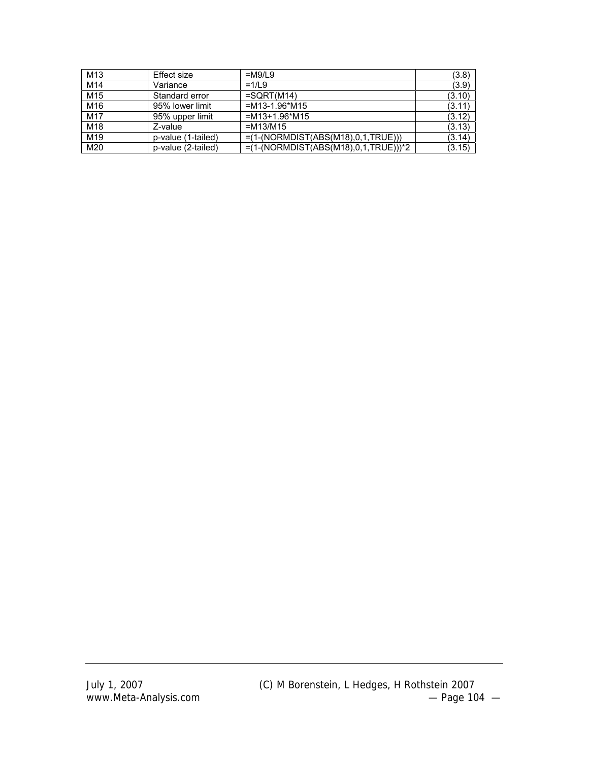| M <sub>13</sub> | Effect size        | $=M9/L9$                                | (3.8)  |
|-----------------|--------------------|-----------------------------------------|--------|
| M14             | Variance           | $=1/1.9$                                | (3.9)  |
| M <sub>15</sub> | Standard error     | $=$ SQRT(M14)                           | (3.10) |
| M16             | 95% lower limit    | $=M13-1.96*M15$                         | (3.11) |
| M17             | 95% upper limit    | $=M13+1.96*M15$                         | (3.12) |
| M18             | Z-value            | $=M13/M15$                              | (3.13) |
| M19             | p-value (1-tailed) | $=(1-(NORMDIST(ABS(M18),0,1,TRUE)))$    | (3.14) |
| M20             | p-value (2-tailed) | $=(1-(NORMDIST(ABS(M18),0,1,TRUE)))$ *2 | (3.15) |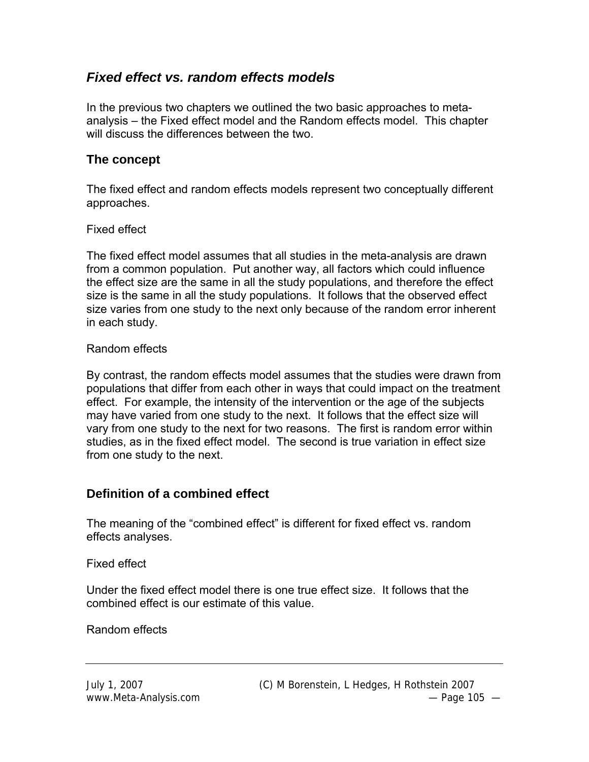# *Fixed effect vs. random effects models*

In the previous two chapters we outlined the two basic approaches to metaanalysis – the Fixed effect model and the Random effects model. This chapter will discuss the differences between the two.

### **The concept**

The fixed effect and random effects models represent two conceptually different approaches.

#### Fixed effect

The fixed effect model assumes that all studies in the meta-analysis are drawn from a common population. Put another way, all factors which could influence the effect size are the same in all the study populations, and therefore the effect size is the same in all the study populations. It follows that the observed effect size varies from one study to the next only because of the random error inherent in each study.

#### Random effects

By contrast, the random effects model assumes that the studies were drawn from populations that differ from each other in ways that could impact on the treatment effect. For example, the intensity of the intervention or the age of the subjects may have varied from one study to the next. It follows that the effect size will vary from one study to the next for two reasons. The first is random error within studies, as in the fixed effect model. The second is true variation in effect size from one study to the next.

# **Definition of a combined effect**

The meaning of the "combined effect" is different for fixed effect vs. random effects analyses.

Fixed effect

Under the fixed effect model there is one true effect size. It follows that the combined effect is our estimate of this value.

Random effects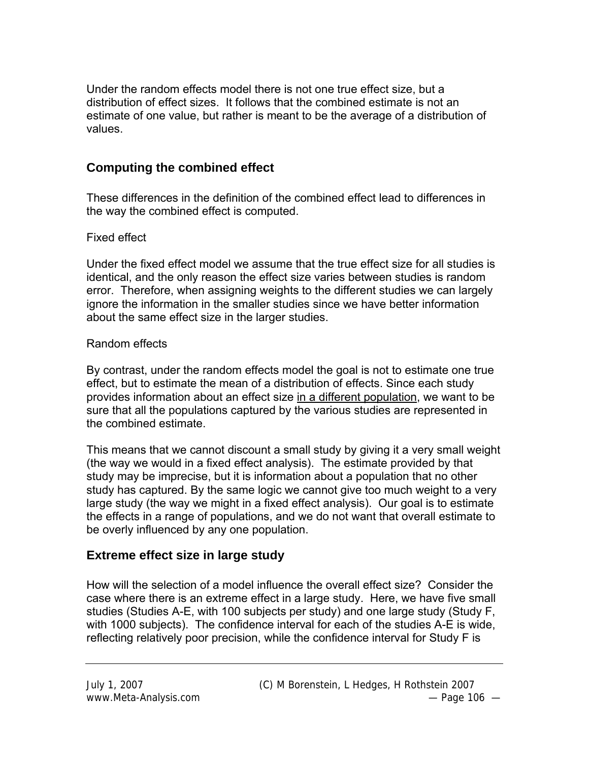Under the random effects model there is not one true effect size, but a distribution of effect sizes. It follows that the combined estimate is not an estimate of one value, but rather is meant to be the average of a distribution of values.

# **Computing the combined effect**

These differences in the definition of the combined effect lead to differences in the way the combined effect is computed.

### Fixed effect

Under the fixed effect model we assume that the true effect size for all studies is identical, and the only reason the effect size varies between studies is random error. Therefore, when assigning weights to the different studies we can largely ignore the information in the smaller studies since we have better information about the same effect size in the larger studies.

#### Random effects

By contrast, under the random effects model the goal is not to estimate one true effect, but to estimate the mean of a distribution of effects. Since each study provides information about an effect size in a different population, we want to be sure that all the populations captured by the various studies are represented in the combined estimate.

This means that we cannot discount a small study by giving it a very small weight (the way we would in a fixed effect analysis). The estimate provided by that study may be imprecise, but it is information about a population that no other study has captured. By the same logic we cannot give too much weight to a very large study (the way we might in a fixed effect analysis). Our goal is to estimate the effects in a range of populations, and we do not want that overall estimate to be overly influenced by any one population.

# **Extreme effect size in large study**

How will the selection of a model influence the overall effect size? Consider the case where there is an extreme effect in a large study. Here, we have five small studies (Studies A-E, with 100 subjects per study) and one large study (Study F, with 1000 subjects). The confidence interval for each of the studies A-E is wide, reflecting relatively poor precision, while the confidence interval for Study F is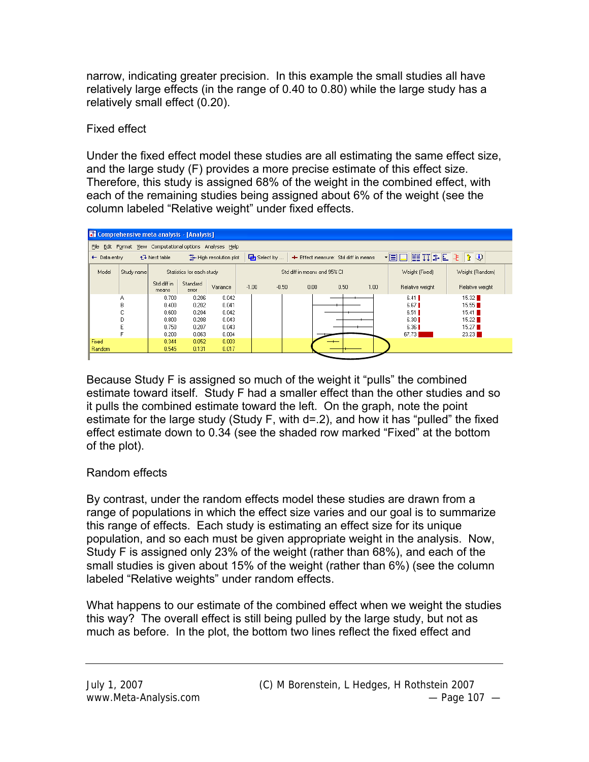narrow, indicating greater precision. In this example the small studies all have relatively large effects (in the range of 0.40 to 0.80) while the large study has a relatively small effect (0.20).

### Fixed effect

Under the fixed effect model these studies are all estimating the same effect size, and the large study (F) provides a more precise estimate of this effect size. Therefore, this study is assigned 68% of the weight in the combined effect, with each of the remaining studies being assigned about 6% of the weight (see the column labeled "Relative weight" under fixed effects.



Because Study F is assigned so much of the weight it "pulls" the combined estimate toward itself. Study F had a smaller effect than the other studies and so it pulls the combined estimate toward the left. On the graph, note the point estimate for the large study (Study F, with d=.2), and how it has "pulled" the fixed effect estimate down to 0.34 (see the shaded row marked "Fixed" at the bottom of the plot).

# Random effects

By contrast, under the random effects model these studies are drawn from a range of populations in which the effect size varies and our goal is to summarize this range of effects. Each study is estimating an effect size for its unique population, and so each must be given appropriate weight in the analysis. Now, Study F is assigned only 23% of the weight (rather than 68%), and each of the small studies is given about 15% of the weight (rather than 6%) (see the column labeled "Relative weights" under random effects.

What happens to our estimate of the combined effect when we weight the studies this way? The overall effect is still being pulled by the large study, but not as much as before. In the plot, the bottom two lines reflect the fixed effect and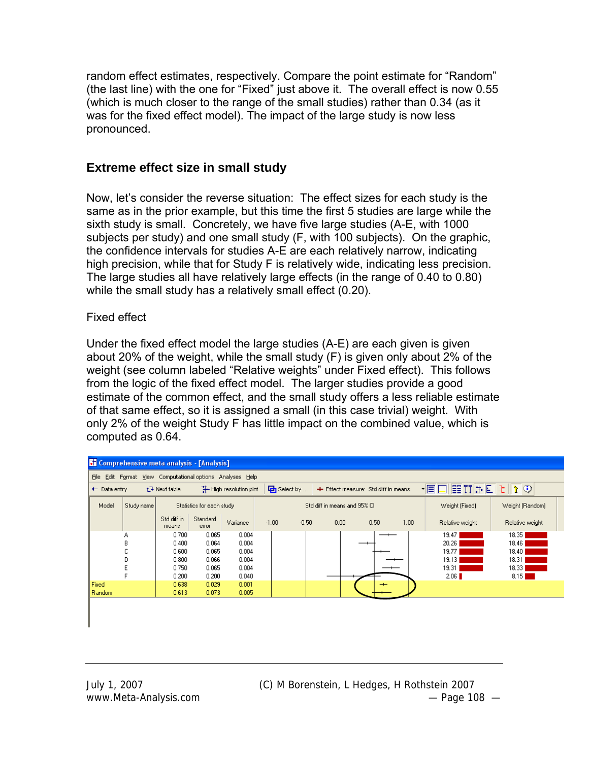random effect estimates, respectively. Compare the point estimate for "Random" (the last line) with the one for "Fixed" just above it. The overall effect is now 0.55 (which is much closer to the range of the small studies) rather than 0.34 (as it was for the fixed effect model). The impact of the large study is now less pronounced.

### **Extreme effect size in small study**

Now, let's consider the reverse situation: The effect sizes for each study is the same as in the prior example, but this time the first 5 studies are large while the sixth study is small. Concretely, we have five large studies (A-E, with 1000 subjects per study) and one small study (F, with 100 subjects). On the graphic, the confidence intervals for studies A-E are each relatively narrow, indicating high precision, while that for Study F is relatively wide, indicating less precision. The large studies all have relatively large effects (in the range of 0.40 to 0.80) while the small study has a relatively small effect (0.20).

#### Fixed effect

Under the fixed effect model the large studies (A-E) are each given is given about 20% of the weight, while the small study (F) is given only about 2% of the weight (see column labeled "Relative weights" under Fixed effect). This follows from the logic of the fixed effect model. The larger studies provide a good estimate of the common effect, and the small study offers a less reliable estimate of that same effect, so it is assigned a small (in this case trivial) weight. With only 2% of the weight Study F has little impact on the combined value, which is computed as 0.64.

|                                                                                                                                                                  | <b>T</b> Comprehensive meta analysis - [Analysis] |                      |                   |          |         |         |      |      |      |                 |                 |
|------------------------------------------------------------------------------------------------------------------------------------------------------------------|---------------------------------------------------|----------------------|-------------------|----------|---------|---------|------|------|------|-----------------|-----------------|
| File Edit Format View Computational options Analyses Help                                                                                                        |                                                   |                      |                   |          |         |         |      |      |      |                 |                 |
| $\cdot$ B D H T + E + $\mid$ + $\mid$<br>Han Select by<br>High resolution plot<br>+ Effect measure: Std diff in means<br>t Next table<br>$\leftarrow$ Data entry |                                                   |                      |                   |          |         |         |      |      |      |                 |                 |
| Model<br>Statistics for each study<br>Weight (Fixed)<br>Study name<br>Weight (Random)<br>Std diff in means and 95% CI                                            |                                                   |                      |                   |          |         |         |      |      |      |                 |                 |
|                                                                                                                                                                  |                                                   | Std diff in<br>means | Standard<br>error | Variance | $-1.00$ | $-0.50$ | 0.00 | 0.50 | 1.00 | Relative weight | Relative weight |
|                                                                                                                                                                  | А                                                 | 0.700                | 0.065             | 0.004    |         |         |      |      |      | 19.47           | 18.35           |
|                                                                                                                                                                  | В                                                 | 0.400                | 0.064             | 0.004    |         |         |      |      |      | 20.26           | 18.46           |
|                                                                                                                                                                  | С                                                 | 0.600                | 0.065             | 0.004    |         |         |      |      |      | 19.77           | 18.40           |
|                                                                                                                                                                  | D                                                 | 0.800                | 0.066             | 0.004    |         |         |      |      |      | 19.13           | 18.31           |
|                                                                                                                                                                  | E                                                 | 0.750                | 0.065             | 0.004    |         |         |      |      |      | 19.31           | 18.33           |
|                                                                                                                                                                  | F                                                 | 0.200                | 0.200             | 0.040    |         |         |      |      |      | 2.06            | 8.15            |
| Fixed                                                                                                                                                            |                                                   | 0.638                | 0.029             | 0.001    |         |         |      |      |      |                 |                 |
| <b>Random</b>                                                                                                                                                    |                                                   | 0.613                | 0.073             | 0.005    |         |         |      |      |      |                 |                 |
|                                                                                                                                                                  |                                                   |                      |                   |          |         |         |      |      |      |                 |                 |
|                                                                                                                                                                  |                                                   |                      |                   |          |         |         |      |      |      |                 |                 |
|                                                                                                                                                                  |                                                   |                      |                   |          |         |         |      |      |      |                 |                 |
|                                                                                                                                                                  |                                                   |                      |                   |          |         |         |      |      |      |                 |                 |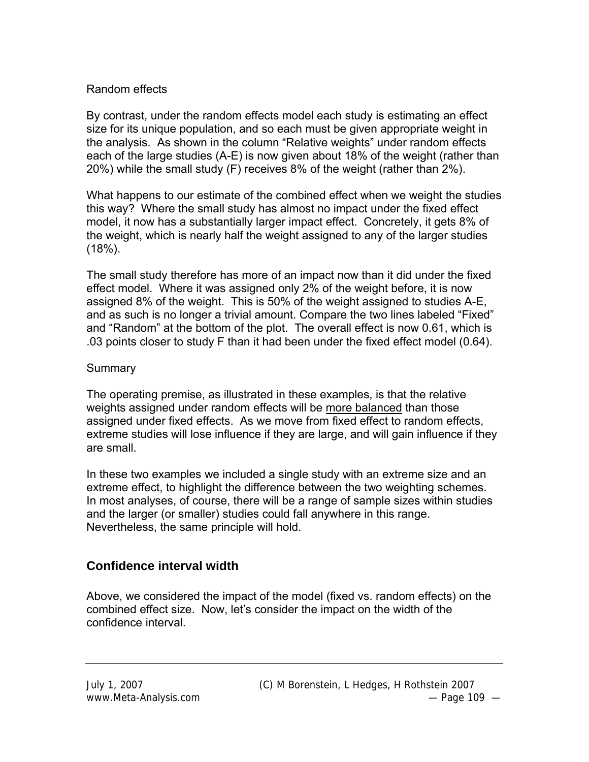#### Random effects

By contrast, under the random effects model each study is estimating an effect size for its unique population, and so each must be given appropriate weight in the analysis. As shown in the column "Relative weights" under random effects each of the large studies (A-E) is now given about 18% of the weight (rather than 20%) while the small study (F) receives 8% of the weight (rather than 2%).

What happens to our estimate of the combined effect when we weight the studies this way? Where the small study has almost no impact under the fixed effect model, it now has a substantially larger impact effect. Concretely, it gets 8% of the weight, which is nearly half the weight assigned to any of the larger studies (18%).

The small study therefore has more of an impact now than it did under the fixed effect model. Where it was assigned only 2% of the weight before, it is now assigned 8% of the weight. This is 50% of the weight assigned to studies A-E, and as such is no longer a trivial amount. Compare the two lines labeled "Fixed" and "Random" at the bottom of the plot. The overall effect is now 0.61, which is .03 points closer to study F than it had been under the fixed effect model (0.64).

#### Summary

The operating premise, as illustrated in these examples, is that the relative weights assigned under random effects will be more balanced than those assigned under fixed effects. As we move from fixed effect to random effects, extreme studies will lose influence if they are large, and will gain influence if they are small.

In these two examples we included a single study with an extreme size and an extreme effect, to highlight the difference between the two weighting schemes. In most analyses, of course, there will be a range of sample sizes within studies and the larger (or smaller) studies could fall anywhere in this range. Nevertheless, the same principle will hold.

#### **Confidence interval width**

Above, we considered the impact of the model (fixed vs. random effects) on the combined effect size. Now, let's consider the impact on the width of the confidence interval.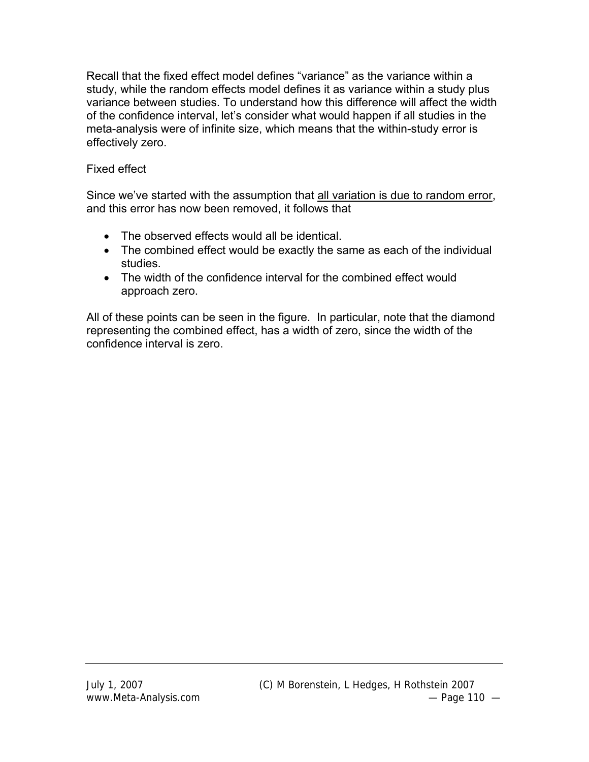Recall that the fixed effect model defines "variance" as the variance within a study, while the random effects model defines it as variance within a study plus variance between studies. To understand how this difference will affect the width of the confidence interval, let's consider what would happen if all studies in the meta-analysis were of infinite size, which means that the within-study error is effectively zero.

# Fixed effect

Since we've started with the assumption that all variation is due to random error, and this error has now been removed, it follows that

- The observed effects would all be identical.
- The combined effect would be exactly the same as each of the individual studies.
- The width of the confidence interval for the combined effect would approach zero.

All of these points can be seen in the figure. In particular, note that the diamond representing the combined effect, has a width of zero, since the width of the confidence interval is zero.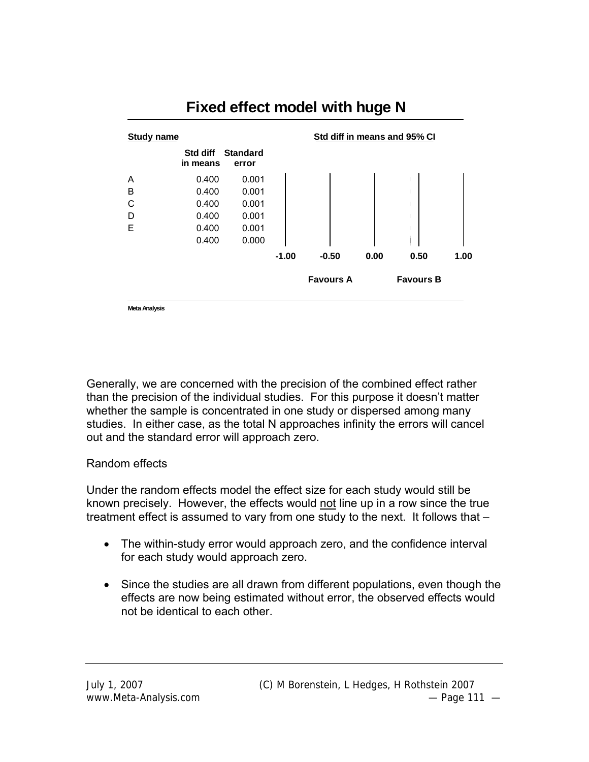

# **Fixed effect model with huge N**

**Meta Analysis**

Generally, we are concerned with the precision of the combined effect rather than the precision of the individual studies. For this purpose it doesn't matter whether the sample is concentrated in one study or dispersed among many studies. In either case, as the total N approaches infinity the errors will cancel out and the standard error will approach zero.

#### Random effects

Under the random effects model the effect size for each study would still be known precisely. However, the effects would not line up in a row since the true treatment effect is assumed to vary from one study to the next. It follows that –

- The within-study error would approach zero, and the confidence interval for each study would approach zero.
- Since the studies are all drawn from different populations, even though the effects are now being estimated without error, the observed effects would not be identical to each other.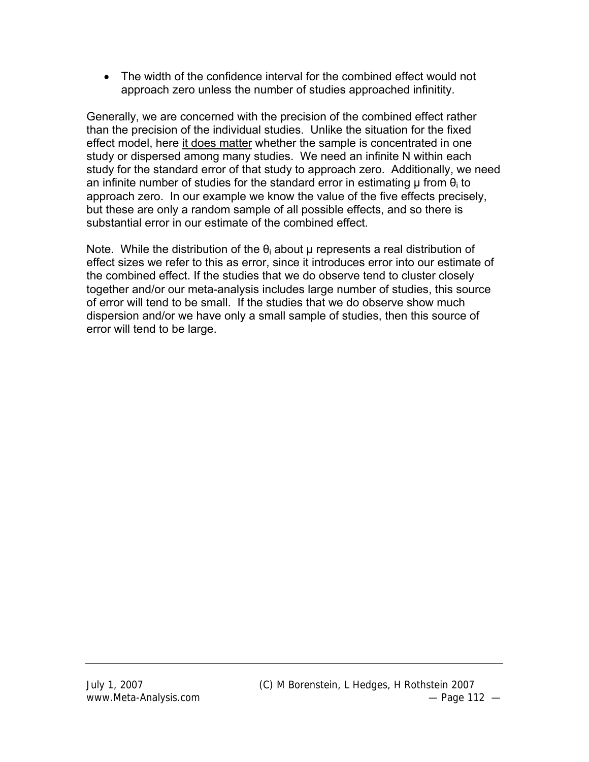• The width of the confidence interval for the combined effect would not approach zero unless the number of studies approached infinitity.

Generally, we are concerned with the precision of the combined effect rather than the precision of the individual studies. Unlike the situation for the fixed effect model, here it does matter whether the sample is concentrated in one study or dispersed among many studies. We need an infinite N within each study for the standard error of that study to approach zero. Additionally, we need an infinite number of studies for the standard error in estimating  $\mu$  from  $\theta_i$  to approach zero. In our example we know the value of the five effects precisely, but these are only a random sample of all possible effects, and so there is substantial error in our estimate of the combined effect.

Note. While the distribution of the  $\theta_i$  about  $\mu$  represents a real distribution of effect sizes we refer to this as error, since it introduces error into our estimate of the combined effect. If the studies that we do observe tend to cluster closely together and/or our meta-analysis includes large number of studies, this source of error will tend to be small. If the studies that we do observe show much dispersion and/or we have only a small sample of studies, then this source of error will tend to be large.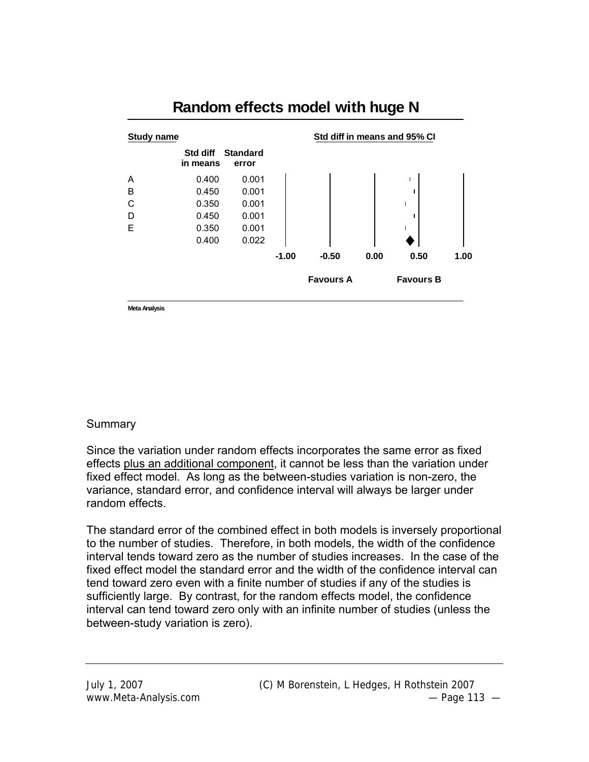

# **Random effects model with huge N**

**Meta Analysis**

#### **Summary**

Since the variation under random effects incorporates the same error as fixed effects plus an additional component, it cannot be less than the variation under fixed effect model. As long as the between-studies variation is non-zero, the variance, standard error, and confidence interval will always be larger under random effects.

The standard error of the combined effect in both models is inversely proportional to the number of studies. Therefore, in both models, the width of the confidence interval tends toward zero as the number of studies increases. In the case of the fixed effect model the standard error and the width of the confidence interval can tend toward zero even with a finite number of studies if any of the studies is sufficiently large. By contrast, for the random effects model, the confidence interval can tend toward zero only with an infinite number of studies (unless the between-study variation is zero).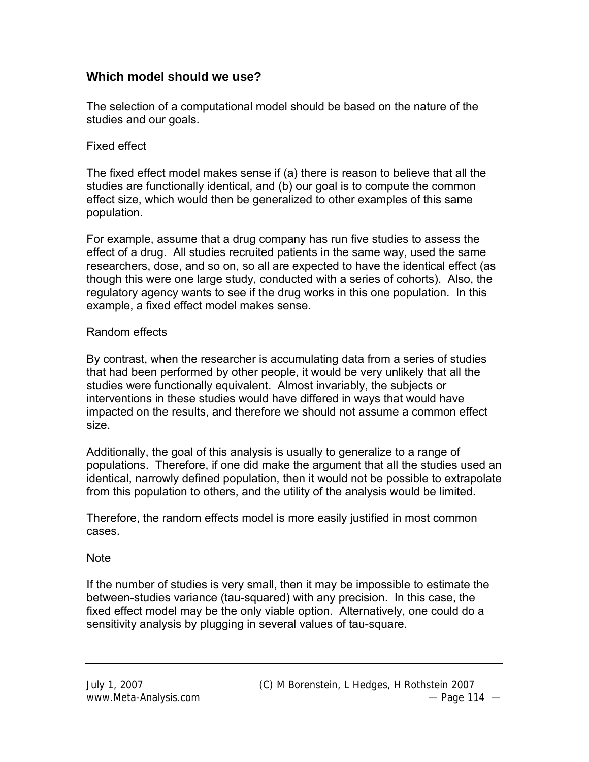# **Which model should we use?**

The selection of a computational model should be based on the nature of the studies and our goals.

#### Fixed effect

The fixed effect model makes sense if (a) there is reason to believe that all the studies are functionally identical, and (b) our goal is to compute the common effect size, which would then be generalized to other examples of this same population.

For example, assume that a drug company has run five studies to assess the effect of a drug. All studies recruited patients in the same way, used the same researchers, dose, and so on, so all are expected to have the identical effect (as though this were one large study, conducted with a series of cohorts). Also, the regulatory agency wants to see if the drug works in this one population. In this example, a fixed effect model makes sense.

#### Random effects

By contrast, when the researcher is accumulating data from a series of studies that had been performed by other people, it would be very unlikely that all the studies were functionally equivalent. Almost invariably, the subjects or interventions in these studies would have differed in ways that would have impacted on the results, and therefore we should not assume a common effect size.

Additionally, the goal of this analysis is usually to generalize to a range of populations. Therefore, if one did make the argument that all the studies used an identical, narrowly defined population, then it would not be possible to extrapolate from this population to others, and the utility of the analysis would be limited.

Therefore, the random effects model is more easily justified in most common cases.

#### **Note**

If the number of studies is very small, then it may be impossible to estimate the between-studies variance (tau-squared) with any precision. In this case, the fixed effect model may be the only viable option. Alternatively, one could do a sensitivity analysis by plugging in several values of tau-square.